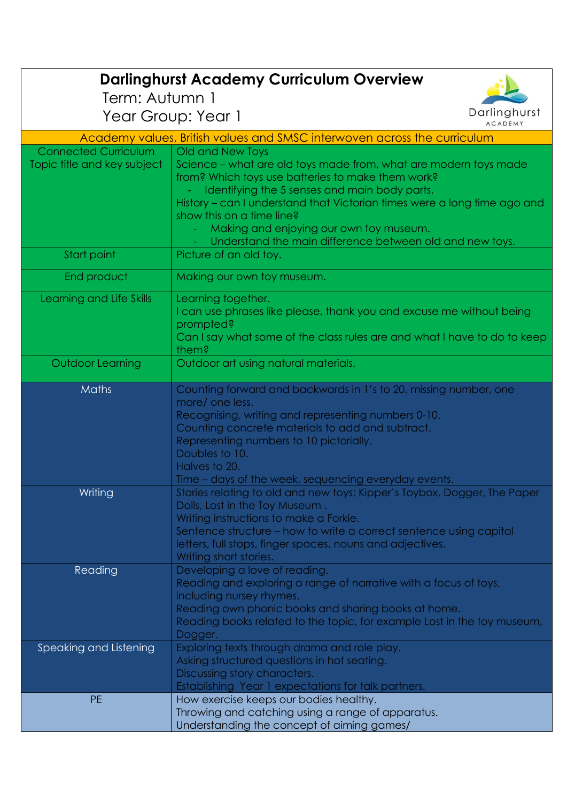| <b>Darlinghurst Academy Curriculum Overview</b>            |                                                                                                                                                                                                                                                                                                                                                                                                            |  |
|------------------------------------------------------------|------------------------------------------------------------------------------------------------------------------------------------------------------------------------------------------------------------------------------------------------------------------------------------------------------------------------------------------------------------------------------------------------------------|--|
| Term: Autumn 1                                             | Darlinghurst                                                                                                                                                                                                                                                                                                                                                                                               |  |
| Year Group: Year 1<br><b>ACADEMY</b>                       |                                                                                                                                                                                                                                                                                                                                                                                                            |  |
|                                                            | Academy values, British values and SMSC interwoven across the curriculum                                                                                                                                                                                                                                                                                                                                   |  |
| <b>Connected Curriculum</b><br>Topic title and key subject | Old and New Toys<br>Science – what are old toys made from, what are modern toys made<br>from? Which toys use batteries to make them work?<br>Identifying the 5 senses and main body parts.<br>History – can I understand that Victorian times were a long time ago and<br>show this on a time line?<br>Making and enjoying our own toy museum.<br>Understand the main difference between old and new toys. |  |
| Start point                                                | Picture of an old toy.                                                                                                                                                                                                                                                                                                                                                                                     |  |
| End product                                                | Making our own toy museum.                                                                                                                                                                                                                                                                                                                                                                                 |  |
| Learning and Life Skills                                   | Learning together.<br>I can use phrases like please, thank you and excuse me without being<br>prompted?<br>Can I say what some of the class rules are and what I have to do to keep<br>them?                                                                                                                                                                                                               |  |
| Outdoor Learning                                           | Outdoor art using natural materials.                                                                                                                                                                                                                                                                                                                                                                       |  |
| <b>Maths</b>                                               | Counting forward and backwards in 1's to 20, missing number, one<br>more/ one less.<br>Recognising, writing and representing numbers 0-10.<br>Counting concrete materials to add and subtract.<br>Representing numbers to 10 pictorially.<br>Doubles to 10.<br>Halves to 20.<br>Time – days of the week, sequencing everyday events.                                                                       |  |
| Writing                                                    | Stories relating to old and new toys; Kipper's Toybox, Dogger, The Paper<br>Dolls, Lost in the Toy Museum.<br>Writing instructions to make a Forkie.<br>Sentence structure – how to write a correct sentence using capital<br>letters, full stops, finger spaces, nouns and adjectives.<br>Writing short stories.                                                                                          |  |
| Reading                                                    | Developing a love of reading.<br>Reading and exploring a range of narrative with a focus of toys,<br>including nursey rhymes.<br>Reading own phonic books and sharing books at home.<br>Reading books related to the topic, for example Lost in the toy museum,<br>Dogger.                                                                                                                                 |  |
| Speaking and Listening                                     | Exploring texts through drama and role play.<br>Asking structured questions in hot seating.<br>Discussing story characters.<br>Establishing Year 1 expectations for talk partners.                                                                                                                                                                                                                         |  |
| <b>PE</b>                                                  | How exercise keeps our bodies healthy.<br>Throwing and catching using a range of apparatus.<br>Understanding the concept of aiming games/                                                                                                                                                                                                                                                                  |  |